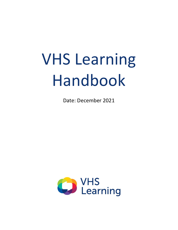# VHS Learning Handbook

Date: December 2021

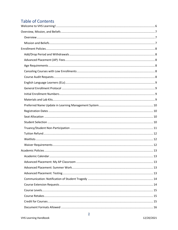# **Table of Contents**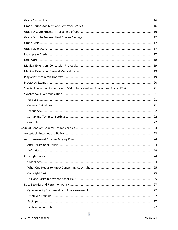| Special Education: Students with 504 or Individualized Educational Plans (IEPs)  21 |  |
|-------------------------------------------------------------------------------------|--|
|                                                                                     |  |
|                                                                                     |  |
|                                                                                     |  |
|                                                                                     |  |
|                                                                                     |  |
|                                                                                     |  |
|                                                                                     |  |
|                                                                                     |  |
|                                                                                     |  |
|                                                                                     |  |
|                                                                                     |  |
|                                                                                     |  |
|                                                                                     |  |
|                                                                                     |  |
|                                                                                     |  |
|                                                                                     |  |
|                                                                                     |  |
|                                                                                     |  |
|                                                                                     |  |
|                                                                                     |  |
|                                                                                     |  |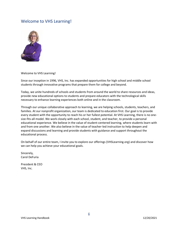## <span id="page-5-0"></span>Welcome to VHS Learning!



#### Welcome to VHS Learning!

Since our inception in 1996, VHS, Inc. has expanded opportunities for high school and middle school students through innovative programs that prepare them for college and beyond.

Today, we unite hundreds of schools and students from around the world to share resources and ideas, provide new educational options to students and prepare educators with the technological skills necessary to enhance learning experiences both online and in the classroom.

Through our unique collaborative approach to learning, we are helping schools, students, teachers, and families. At our nonprofit organization, our team is dedicated to education first. Our goal is to provide every student with the opportunity to reach his or her fullest potential. At VHS Learning, there is no onesize-fits-all model. We work closely with each school, student, and teacher, to provide a personal educational experience. We believe in the value of student-centered learning, where students learn with and from one another. We also believe in the value of teacher-led instruction to help deepen and expand discussions and learning and provide students with guidance and support throughout the educational process.

On behalf of our entire team, I invite you to explore our offerings (VHSLearning.org) and discover how we can help you achieve your educational goals.

Sincerely, Carol DeFuria

President & CEO VHS, Inc.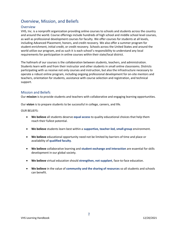## <span id="page-6-0"></span>Overview, Mission, and Beliefs

#### <span id="page-6-1"></span>Overview

VHS, Inc. is a nonprofit organization providing online courses to schools and students across the country and around the world. Course offerings include hundreds of high school and middle school level courses, as well as professional development courses for faculty. We offer courses for students at all levels, including Advanced Placement, honors, and credit recovery. We also offer a summer program for student enrichment, initial credit, or credit recovery. Schools across the United States and around the world utilize our program, and as such it is each school's responsibility to understand any local requirements for participation in online courses within their state/local district.

The hallmark of our courses is the collaboration between students, teachers, and administration. Students learn with and from their instructor and other students in small online classrooms. Districts participating with us receive not only courses and instruction, but also the infrastructure necessary to operate a robust online program, including ongoing professional development for on-site mentors and teachers, orientation for students, assistance with course selection and registration, and technical support.

#### <span id="page-6-2"></span>Mission and Beliefs

Our **mission** is to provide students and teachers with collaborative and engaging learning opportunities.

Our **vision** is to prepare students to be successful in college, careers, and life.

OUR BELIEFS:

- **We believe** all students deserve **equal access** to quality educational choices that help them reach their fullest potential.
- **We believe** students learn best within a **supportive, teacher-led, small-group** environment.
- **We believe** educational opportunity need not be limited by barriers of time and place or availability of **qualified faculty**.
- **We believe** collaborative learning and **student exchange and interaction** are essential for skills development in our global society.
- **We believe** virtual education should **strengthen, not supplant**, face-to-face education.
- **We believe** in the value of **community and the sharing of resources** so all students and schools can benefit.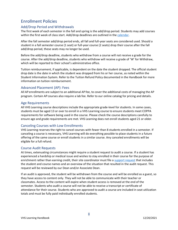# <span id="page-7-0"></span>Enrollment Policies

#### <span id="page-7-1"></span>Add/Drop Period and Withdrawals

The first week of each semester in the fall and spring is the add/drop period. Students may add courses within the first week of class start. Add/drop deadlines are outlined in the [calendar.](https://vhslearning.org/academic-calendar)

After the fall semester add/drop period ends, all fall and full-year seats are considered used. Should a student in a fall semester course (1 seat) or full-year course (2 seats) drop their course after the fall add/drop period, these seats may no longer be used.

Before the add/drop deadline, students who withdraw from a course will not receive a grade for the course. After the add/drop deadline, students who withdraw will receive a grade of 'W' for Withdraw, which will be reported to their school's administrative office.

Tuition reimbursement, if applicable, is dependent on the date the student dropped. The official student drop date is the date in which the student was dropped from his or her course, as noted within the Student Information System. Refer to the Tuition Refund Policy documented in the Handbook for more information on tuition reimbursement.

#### <span id="page-7-2"></span>Advanced Placement (AP): Fees

All AP enrollments are subject to an additional AP fee, to cover the additional costs of managing the AP program. Certain AP courses also require a lab fee. Refer to our online catalog for pricing and details.

#### <span id="page-7-3"></span>Age Requirements

All VHS Learning course descriptions include the appropriate grade-level for students. In some cases, students must be aged 13 or over to enroll in a VHS Learning course to ensure students meet COPPA requirements for software being used in the course. Please check the course descriptions carefully to ensure age and grade requirements are met. VHS Learning does not enroll students aged 21 or older.

#### <span id="page-7-4"></span>Canceling Courses with Low Enrollments

VHS Learning reserves the right to cancel courses with fewer than 8 students enrolled in a semester. If canceling a course is necessary, VHS Learning will do everything possible to place students in a future offering of the same course or enroll students in a similar course. Any canceled enrollments will be eligible for a full refund.

#### <span id="page-7-5"></span>Course Audit Requests

At times, extenuating circumstances might require a student request to audit a course. If a student has experienced a hardship or medical issue and wishes to stay enrolled in their course for the purpose of enrichment rather than earning credit, their site coordinator must file a [support request](https://service.vhslearning.org/s/) that includes the student and course names and an overview of the situation that resulted in the audit request. This request will be reviewed by our Dean and/or Associate Dean.

If an audit is approved, the student will be withdrawn from the course and will be enrolled as a guest, so they have access to content only. They will not be able to communicate with their teacher or classmates. Access to the content will expire when student access is removed at the end of the semester. Students who audit a course will not be able to receive a transcript or certificate of attendance for their course. Students who are approved to audit a course are included in seat utilization totals and must be fully paid individually enrolled students.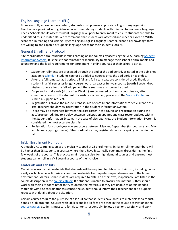#### <span id="page-8-0"></span>English Language Learners (ELs)

To successfully access course content, students must possess appropriate English language skills. Teachers are provided with guidance on accommodating students with minimal to moderate language needs. Schools should assess student language level prior to enrollment to ensure students are able to understand course materials. We recommend that students are assessed and meet or exceed a WIDA score of 4 in reading and writing. By enrolling an English Language Learner, schools acknowledge they are willing to and capable of support language needs for their students locally.

#### <span id="page-8-1"></span>General Enrollment Protocol

Site coordinators enroll students in VHS Learning online courses by accessing the VHS Learning Student [Information System.](https://my.vhslearning.org/) It is the site coordinator's responsibility to manage their school's enrollments and to understand the local requirements for enrollment in online courses at their school district.

- Student enrollments are processed through the end of the add period, as noted in the published academic [calendar;](http://vhslearning.org/academic-calendar) students cannot be added to courses once the add period has ended.
- After the fall semester add period, all fall and full-year seats are considered used. Should a student in a fall semester-length course (worth 1 seat) or full-year course (worth 2 seats) drop his/her course after the fall add period, these seats may no longer be used.
- Drops and withdrawals (drops after Week 1) are processed by the site coordinator, after communication with the student. If assistance is needed, please visit the [Service Center](https://service.vhslearning.org/) and submit a support request.
- Registration is always the most current source of enrollment information; to see current class lists, teachers should view registration in the Student Information System.
- There may be differences between the class roster in the course and registration during the add/drop period, due to a delay between registration updates and class roster updates within the Student Information System. In the case of discrepancies, the Student Information System is considered the most accurate class list.
- Registration for school-year courses occurs between May and September (fall courses), and May and January (spring courses). Site coordinators may register students for spring courses in the fall.

#### <span id="page-8-2"></span>Initial Enrollment Numbers

Although VHS Learning courses are typically capped at 25 enrollments, initial enrollment numbers will be higher than 25 students in courses where there have historically been many drops during the first few weeks of the course. This practice minimizes waitlists for high demand courses and ensures most students can enroll in a VHS Learning course of their choice.

#### <span id="page-8-3"></span>Materials and Lab Kits

Certain courses contain materials that students will be required to obtain on their own, including books easily available at local libraries or common materials to complete simple lab exercises in the home environment. Materials that students are required to obtain on their own, if applicable, are listed in the course description in the [course catalog.](https://my.vhslearning.org/PublicStudentCourseList.aspx) If a student is unable to procure the materials, they should work with their site coordinator to try to obtain the materials. If they are unable to obtain needed materials with site coordinator assistance, the student should inform their teacher and file a support request with details about the situation.

Certain courses require the purchase of a lab kit so that students have access to materials for a robust, hands-on lab program. Courses with lab kits and lab kit fees are noted in the course description in the [course catalog.](https://my.vhslearning.org/PublicStudentCourseList.aspx) Students must care for kit contents responsibly, follow directions carefully, and work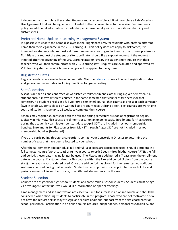independently to complete these labs. Students and a responsible adult will complete a Lab Materials Use Agreement that will be signed and uploaded to their course. Refer to the Waiver Requirements policy for additional information. Lab kits shipped internationally will incur additional shipping and customs fees.

#### <span id="page-9-0"></span>Preferred Name Update in Learning Management System

It is possible to update the name displayed in the Brightspace LMS for students who prefer a different name than their legal name in the VHS Learning SIS. This policy does not apply to nicknames; it is intended for students who request a different name because of gender identity or a cultural preference. To initiate this request the student or site coordinator should file a support request. If the request is initiated after the beginning of the VHS Learning academic year, the student may inquire with their teacher, who will then communicate with VHS Learning staff. Requests are evaluated and approved by VHS Learning staff, after which time changes will be applied to the system.

#### <span id="page-9-1"></span>Registration Dates

Registration dates are available on our web site. Visit the [calendar](http://vhslearning.org/academic-calendar) to see all current registration dates and general semester dates, including deadlines for grade posting.

#### <span id="page-9-2"></span>Seat Allocation

A seat is defined as one confirmed or waitlisted enrollment in one class during a given semester. If a student enrolls in two different courses in the same semester, that counts as two seats for that semester. If a student enrolls in a full year (two-semester) course, that counts as one seat each semester (two in total). Students placed on waiting lists are counted as utilizing a seat. Flex courses are worth one seat, and students have up to 15 weeks to complete their course.

Schools may register students for both the fall and spring semesters as soon as registration begins, typically in mid-May. Flex course enrollments occur on an ongoing basis. Enrollments for Flex courses during the academic year (September start date to April  $30<sup>th</sup>$ ) are included in school membership bundles. Enrollments for Flex courses from May  $1<sup>st</sup>$  through August 31<sup>st</sup> are not included in school membership bundles (fee-based).

If you are participating through a consortium, contact your Consortium Director to determine the number of seats that have been allocated to your school.

After the fall semester add period, all fall and full-year seats are considered used. Should a student in a fall semester course (worth 1 seat) or full-year course (worth 2 seats) drop his/her course AFTER the fall add period, these seats may no longer be used. The Flex course add period is 7 days from the enrollment date in the course. If a student drops a Flex course within the Flex add period (7 days from the course start), the seat is not considered used. Once the add period has closed for the semester, no additional seats may be used during that semester. Students who drop their courses prior to the end of the add period can reenroll in another course, or a different student may use the seat.

#### <span id="page-9-3"></span>Student Selection

Courses are designed for high school students and some middle school students. Students must be age 21 or younger. Contact us if you would like information on special offerings.

Time management and self-motivation are essential skills for success in an online course and should be considered when choosing students to participate in this program. Those who are not motivated or do not have the required skills may struggle and require additional support from the site coordinator or school personnel. Participation in an online course requires independence, personal responsibility, and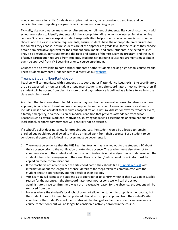good communication skills. Students must plan their work, be responsive to deadlines, and be conscientious in completing assigned tasks independently and in groups.

Typically, site coordinators manage recruitment and enrollment of students. Site coordinators work with school counselors to identify students with the appropriate skillset who have interest in taking online courses. Site coordinators explain student responsibilities, help students become familiar with course choices and the various course requirements, ensure students have the appropriate prerequisites for the courses they choose, ensure students are of the appropriate grade level for the courses they choose, obtain administrative approval for their student enrollments, and enroll students in selected courses. They also ensure students understand the rigor and pacing of the VHS Learning program, and the level of active participation required from students. Students not meeting course requirements must obtain override approval from VHS Learning prior to course enrollment.

Courses are also available to home school students or other students seeking high school course credits. These students may enroll independently, directly via our [website.](https://my.vhslearning.org/publicstudentcourseregistration.aspx?)

#### <span id="page-10-0"></span>Truancy/Student Non-Participation

Teachers will communicate with a student's site coordinator if attendance issues exist. Site coordinators are also expected to monitor student attendance. Students and site coordinators must notify teachers if a student will be absent from class for more than 4 days. Absence is defined as a failure to log in to the class and submit work.

A student that has been absent for 14 calendar days (without an excusable reason for absence or preapproval) is considered truant and may be dropped from their class. Excusable reasons for absence include illness or an accident that requires hospitalization, a natural disaster or extreme weather event, a family emergency, or a concussion or medical condition that prevents attendance from school. Reasons such as overall workload, motivation, studying for specific assessments or examinations at the local school, or sports commitments will generally not be excused.

If a school's policy does not allow for dropping courses, the student would be allowed to remain enrolled but would not be allowed to make up missed work from their absence. For a student to be considered **dropped,** the following process must be documented:

- 1. There must be evidence that the VHS Learning teacher has reached out to the student's SC about their absence prior to the notification of extended absence. The teacher must also attempt to communicate with the student and their site coordinator via email and/or phone to determine if the student intends to re-engage with the class. The curriculum/instructional coordinator must be copied on these communications.
- 2. If the teacher is not able to reach the site coordinator, they should file a [support](https://service.vhslearning.org/s/) request with information about the length of absence, details of the steps taken to communicate with the student and site coordinator, and the result of their actions.
- 3. VHS Learning will contact the student's site coordinator to confirm whether there was an excusable reason for the absence. If the site coordinator does not respond we will call the school administrator. If we confirm there was not an excusable reason for the absence, the student will be removed from class.
- 4. In cases where the student's local school does not allow the student to drop his or her course, but the student does not intend to complete additional work, upon approval from the student's site coordinator the student's enrollment status will be changed so that the student can have access to course content only but will no longer be considered actively enrolled in the course.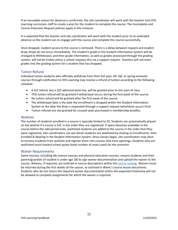If an excusable reason for absence is confirmed, the site coordinator will work with the teacher and VHS Learning curriculum staff to create a plan for the student to complete the course. The Incomplete and Course Extension Request policies apply in this instance.

It is expected that the teacher and site coordinator will work with the student prior to an extended absence so the student can re-engage with the course and complete the course successfully.

Once dropped, student access to the course is removed. There is a delay between request and student drop; drops do not occur immediately. The student's grade in the Student Information System will be changed to Withdrawal, and their grade information, as well as grades processed through the grading system, will not be visible unless a school requests this via a support request. Teachers will not enter grades into the grading system for a student that has dropped.

#### <span id="page-11-0"></span>Tuition Refund

Individual tuition students who officially withdraw from their full-year, AP, fall, or spring semester courses through notification to VHS Learning may receive a refund of tuition according to the following schedule:

- A full refund, less a \$25 administration fee, will be granted prior to the start of class.
- 75% tuition refund will be granted if withdrawal occurs during the first week of the course.
- No tuition refund will be granted after the first week of the course
- The withdrawal date is the date the enrollment is dropped within the Student Information System or the date the drop is requested through a support request (whichever occurs first).
- Tuition refunds are not granted for unused seats purchased in membership bundles.

#### <span id="page-11-1"></span>**Waitlists**

The number of students enrolled in a course is typically limited to 25. Students are automatically placed on the waitlist if a course is full, in the order they are registered. If space becomes available in the course before the add period ends, waitlisted students are added to the course in the order that they were registered. Site coordinators can see which students are waitlisted by clicking on Enrollments, then Enrolled & Waiting in the Student Information System. Once classes begin, site coordinators may elect to remove students from waitlists and register them into courses that have openings. Students who are waitlisted count toward school quota (total number of seats used) for the semester.

#### <span id="page-11-2"></span>Waiver Requirements

Some courses, including lab science courses and physical education courses, require students and their parent/guardian (if student is under age 18) to sign waiver documentation and upload the waiver to the course. Waivers, if required, are outlined in course descriptions within the course [catalog.](https://my.vhslearning.org/PublicStudentCourseList.aspx) Waivers must be returned during the first weeks of the course, as outlined in Week 1 course lesson documents. Students who do not return the required waiver documentation within the expected timeframe will not be allowed to complete assignments for which the waiver is required.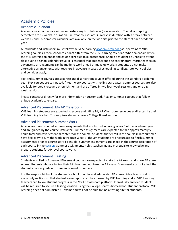## <span id="page-12-0"></span>Academic Policies

#### <span id="page-12-1"></span>Academic Calendar

Academic year courses are either semester-length or full-year (two semester). The fall and spring semesters are 15 weeks in duration. Full-year courses are 33 weeks in duration with a break between weeks 15 and 16. Semester calendars are available on the web site prior to the start of each academic year.

All students and instructors must follow the VHS Learnin[g academic calendar](http://vhslearning.org/academic-calendar) as it pertains to VHS Learning courses. Often school calendars differ from the VHS Learning calendar. When calendars differ, the VHS Learning calendar and course schedule take precedence. Should a student be unable to attend class due to a school calendar issue, it is essential that students and site coordinators inform teachers in advance so arrangements can be made to work ahead or make up work. If students do not make alternative arrangements with teachers in advance in cases of scheduling conflicts, late work policies and penalties apply.

Flex and summer courses are separate and distinct from courses offered during the standard academic year. Flex courses are self-paced, fifteen-week courses with rolling start dates. Summer courses are also available for credit recovery or enrichment and are offered in two four-week sessions and one eightweek session.

Please contact us directly for more information on customized, Flex, or summer courses that follow unique academic calendars.

#### <span id="page-12-2"></span>Advanced Placement: My AP Classroom

VHS Learning students are expected to access and utilize My AP Classroom resources as directed by their VHS Learning teacher. This requires students have a College Board account.

#### <span id="page-12-3"></span>Advanced Placement: Summer Work

AP courses have required summer assignments that are turned in during Week 1 of the academic year and are graded by the course instructor. Summer assignments are expected to take approximately 5 hours total and cover essential content for the course. Students that enroll in the course in late summer have flexibility to turn the work in through Week 3, though students are encouraged to finish summer assignments prior to course start if possible. Summer assignments are linked in the course description of each course in the [catalog.](https://my.vhslearning.org/PublicStudentCourseList.aspx) Summer assignments helps teachers gauge prerequisite knowledge and prepare students for AP-level coursework.

#### <span id="page-12-4"></span>Advanced Placement: Testing

Students enrolled in Advanced Placement courses are expected to take the AP exam and share AP exam scores. Students who are failing their AP class need not take the AP exam. Exam results do not affect the student's course grade or future enrollment in courses.

It is the responsibility of the student's school to order and administer AP exams. Schools must set up exam only sections so that student score reports can be accessed by VHS Learning and so VHS Learning teachers can follow student progress in the My AP Classroom platform. Individually enrolled students will be required to secure a testing location using the College Board's homeschool student protocol. VHS Learning does not administer AP exams and will not be able to find a testing site for students.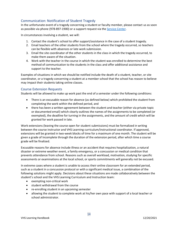#### <span id="page-13-0"></span>Communication: Notification of Student Tragedy

In the unfortunate event of a tragedy concerning a student or faculty member, please contact us as soon as possible via phone (978-897-1900) or a support request via the Service [Center.](https://service.vhslearning.org/)

In circumstances involving a student, we will:

- 1. Contact the student's school to offer support/assistance in the case of a student tragedy.
- 2. Email teachers of the other students from the school where the tragedy occurred, so teachers can be flexible with absences or late work submission.
- 3. Email the site coordinator of the other students in the class in which the tragedy occurred, to make them aware of the situation.
- 4. Work with the teacher in the course in which the student was enrolled to determine the best method of communication to the students in the class and offer additional assistance and support to the teacher.

Examples of situations in which we should be notified include the death of a student, teacher, or site coordinator, or a tragedy concerning a student at a member school that the school has reason to believe may impact their students taking online classes.

#### <span id="page-13-1"></span>Course Extension Requests

Students will be allowed to make up work past the end of a semester under the following conditions:

- There is an excusable reason for absence (as defined below) which prohibited the student from completing the work within the defined period, and
- there has been a written agreement between the student and teacher (either via private topic or documented email) which clearly outlines the names of the assignments to be completed (or exempted), the deadline for turning in the assignments, and the amount of credit which will be granted for work passed in late.

Work extensions (leaving the course open for student submissions) must be formalized in writing between the course instructor and VHS Learning curriculum/instructional coordinator. If approved, extensions will be granted in two-week blocks of time for a maximum of one month. The student will be given a grade of Incomplete through the duration of the extension period, after which time a course grade will be finalized.

Excusable reasons for absence include illness or an accident that requires hospitalization, a natural disaster or extreme weather event, a family emergency, or a concussion or medical condition that prevents attendance from school. Reasons such as overall workload, motivation, studying for specific assessments or examinations at the local school, or sports commitments will generally not be excused.

In extreme cases where a student is unable to access their online classroom for an extended period, such as a student in a concussion protocol or with a significant medical issue, a combination of the following solutions might apply. Decisions about these situations are made collaboratively between the student's school and the VHS Learning Curriculum and Instruction team:

- exempting non-critical work
- student withdrawal from the course
- re-enrolling student in an upcoming semester
- allowing the student to complete work at his/her own pace with support of a local teacher or school administrator.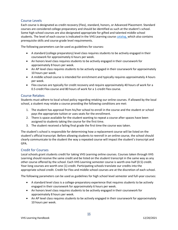#### <span id="page-14-0"></span>Course Levels

Each course is designated as credit recovery (Flex), standard, honors, or Advanced Placement. Standard courses are considered college preparatory and should be identified as such at the student's school. Some high school courses are also designated appropriate for gifted and talented middle school students. The level of each course is indicated in the VHS Learning course [catalog,](https://my.vhslearning.org/PublicStudentCourseList.aspx) which also contains prerequisite skills and course grade level requirements.

The following parameters can be used as guidelines for courses:

- A standard (college preparatory) level class requires students to be actively engaged in their coursework for approximately 6 hours per week.
- An honors level class requires students to be actively engaged in their coursework for approximately 8 hours per week.
- An AP level class requires students to be actively engaged in their coursework for approximately 10 hours per week.
- A middle school course is intended for enrichment and typically requires approximately 4 hours per week.
- Flex courses are typically for credit recovery and require approximately 40 hours of work for a 0.5 credit Flex course and 80 hours of work for a 1-credit Flex course.

#### <span id="page-14-1"></span>Course Retakes

Students must adhere to local school policy regarding retaking our online courses. If allowed by the local school, a student may retake a course providing the following conditions are met:

- 1. The student has approval from his/her school to enroll in the course and the student or school pays the appropriate tuition or uses seats for the enrollment.
- 2. There is space available for the student wanting to repeat a course after spaces have been assigned to students taking the course for the first time.
- 3. The student received a failing final grade the first time the course was taken.

The student's school is responsible for determining how a replacement course will be listed on the student's official transcript. Before allowing students to reenroll in an online course, the school should clearly communicate to the student the way a repeated course will impact the student's transcript and GPA.

#### <span id="page-14-2"></span>Credit for Courses

Local schools grant students credit for taking VHS Learning online courses. Courses taken through VHS Learning should receive the same credit and be listed on the student transcript in the same way as any other course offered by the school. Each VHS Learning semester course is worth one-half (0.5) credit. Year-long courses are worth one (1) credit. Participating schools translate our credits into the appropriate school credit. Credit for Flex and middle school courses are at the discretion of each school.

The following parameters can be used as guidelines for high school level semester and full-year courses:

- A standard level class is a college-preparatory experience that requires students to be actively engaged in their coursework for approximately 6 hours per week.
- An honors level class requires students to be actively engaged in their coursework for approximately 8 hours per week.
- An AP level class requires students to be actively engaged in their coursework for approximately 10 hours per week.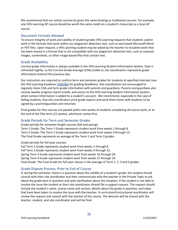We recommend that our online courses be given the same leveling as traditional courses. For example, one VHS Learning AP course should be worth the same credit on a student's transcript as a local AP course.

#### <span id="page-15-0"></span>Document Formats Allowed

To ensure integrity of work and validity of student grades VHS Learning requests that students submit work in file formats that work within our plagiarism detection tool, such as text-based Microsoft Word or PDF files. Upon request, a VHS Learning student may be asked by the teacher to resubmit work that has been shared in a format that is not compatible with our plagiarism detection tool, such as scanned images, screenshots, or other image-based files that contain text.

#### <span id="page-15-1"></span>Grade Availability

Current grade information is always available in the VHS Learning Student Information System. Data is refreshed nightly, so the Current Grade Average (CGA) visible to site coordinators represents grade information entered the previous day.

Our instructors are required to confirm term and semester grades for students at specified intervals (see the VHS Learning Academic [Calendar](http://vhslearning.org/academic-calendar) for grading deadlines). Site coordinators are encouraged to regularly share CGA and term grade information with parents and guardians. Parents and guardians also receive weekly progress report emails, and access to the VHS Learning Student Information System, when contact information is added to a student's account. We recommend, especially in the case of failing students, that site coordinators print grade reports and send them home with students to be signed by a parent/guardian and returned.

Final grades for Flex courses are posted within two weeks of students completing all course work, or at the end of the Flex term (15 weeks), whichever comes first.

#### <span id="page-15-2"></span>Grade Periods for Term and Semester Grades

Grade periods for semester-length courses (fall and spring): Term 1 Grade: The Term 1 Grade represents student work from weeks 1 through 8. Term 2 Grade: The Term 2 Grade represents student work from weeks 9 through 15. The Final Grade represents an average of the Term 1 and Term 2 grades.

Grade periods for full-year courses:

Fall Term 1 Grade represents student work from weeks 1 through 8. Fall Term 2 Grade represents student work from weeks 9 through 15. Spring Term 3 Grade represents student work from weeks 16 through 26. Spring Term 4 Grade represents student work from weeks 27 through 33. Final Grade: The Final Grade for full-year classes is the average of Term 1, 2, 3 and 4 grades.

#### <span id="page-15-3"></span>Grade Dispute Process: Prior to End of Course

If, during the semester, there is a question about the validity of a student's grade, the student should consult with their site coordinator and then communicate with the teacher in the Private Topic to ask about the grade item in question and seek clarification about the situation. If the student is not able to resolve the issue the student or their site coordinator should file a support request. The request should include the student's name, course name and section, details about the grade in question, and steps that have been taken to resolve the issue with the teacher. A curriculum/instructional coordinator will review the request and consult with the teacher of the course. The decision will be shared with the teacher, student, and site coordinator and will be final.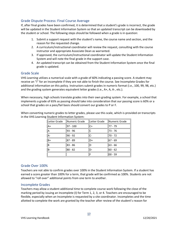### <span id="page-16-0"></span>Grade Dispute Process: Final Course Average

If, after final grades have been confirmed, it is determined that a student's grade is incorrect, the grade will be updated in the Student Information System so that an updated transcript can be downloaded by the student or school. The following steps should be followed when a grade is in question:

- 1. Submit a support request with the student's name, the course name and section, and the reason for the requested change.
- 2. A curriculum/instructional coordinator will review the request, consulting with the course instructor and appropriate Associate Dean as warranted.
- 3. If approved, the curriculum/instructional coordinator will update the Student Information System and will note the final grade in the support case.
- 4. An updated transcript can be obtained from the Student Information System once the final grade is updated.

#### <span id="page-16-1"></span>Grade Scale

VHS Learning utilizes a numerical scale with a grade of 60% indicating a passing score. A student may receive an "I" for an Incomplete if they are not able to finish the course. See Incomplete Grades for additional information on this policy. Instructors submit grades in numeric format (i.e., 100, 99, 98, etc.) and the grading system generates equivalent letter grades (i.e., A+, A, A-, etc.).

When necessary, high schools translate grades into their own grading system. For example, a school that implements a grade of 65% as passing should take into consideration that our passing score is 60% or a school that grades on a pass/fail basis should convert our grades to P or F.

When converting numeric grades to letter grades, please use this scale, which is provided on transcripts in the VHS Learning Student Information System:

| Letter Grade | Numeric Grade | Letter Grade | Numeric Grade |
|--------------|---------------|--------------|---------------|
| $A+$         | $97 - 100$    | C+           | 77 - 79       |
| ΙA           | 93 - 96       |              | $73 - 76$     |
| А-           | $90 - 92$     | C-           | $70 - 72$     |
| B+           | $87 - 89$     | D+           | $ 67 - 69 $   |
| B            | $83 - 86$     | D            | $63 - 66$     |
| B-           | 80 - 82       | ID-          | $60 - 62$     |
|              |               | F            | $00 - 59$     |

#### <span id="page-16-2"></span>Grade Over 100%

Teachers are not able to confirm grades over 100% in the Student Information System. If a student has earned a score greater than 100% for a term, that grade will be confirmed as 100%. Students are not allowed to "roll over" additional points from one term to another.

#### <span id="page-16-3"></span>Incomplete Grades

Teachers may allow a student additional time to complete course work following the close of the marking period by issuing an Incomplete (I) for Term 1, 2, 3, or 4. Teachers are encouraged to be flexible, especially when an Incomplete is requested by a site coordinator. Incompletes and the time allotted to complete the work are granted by the teacher after review of the student's reason for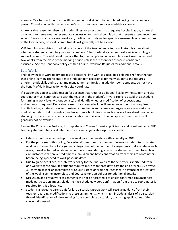absence. Teachers will identify specific assignments eligible to be completed during the incomplete period. Consultation with the curriculum/instructional coordinator is available as needed.

An excusable reason for absence includes illness or an accident that requires hospitalization, a natural disaster or extreme weather event, or a concussion or medical condition that prevents attendance from school. Reasons such as overall workload, motivation, studying for specific assessments or examinations at the local school, or sports commitments will generally not be excused.

VHS Learning administrators adjudicate disputes if the teacher and site coordinator disagree about whether a student should be given an Incomplete. Site coordinators can request a review by filing a support request. The additional time allotted for the completion of incomplete work may not exceed two weeks from the close of the marking period unless the reason for absence is considered excusable. See the Handbook policy entitled Course Extension Requests for additional details.

#### <span id="page-17-0"></span>Late Work

The following late work policy applies to occasional late work (as described below); it reflects the fact that online learning represents a more independent experience for many students and requires different study skills and strong time management strategies. In addition, some students do not have the benefit of daily interaction with a site coordinator.

If a student has an excusable reason for absence that requires additional flexibility the student and site coordinator must communicate with the teacher in the student's Private Topic to establish a schedule for turning in work late (without penalty) and identify whether modification of expectations/ assignments is required. Excusable reasons for absence include illness or an accident that requires hospitalization, a natural disaster or extreme weather event, a family emergency, or a concussion or medical condition that prevents attendance from school. Reasons such as overall workload, motivation, studying for specific assessments or examinations at the local school, or sports commitments will generally not be excused.

Review the Concussion Protocol, Incomplete, and Course Extension policies for additional guidance. VHS Learning staff members facilitate this process and adjudicate disputes as needed.

- Late work will be accepted up to one week past the due date with a penalty of 20%.
- For the purposes of this policy, "occasional" describes the number of weeks a student turns in late work, not the number of assignments. Regardless of the number of assignments that are late in each week, if work is turned in late in two or more weeks during a term the student will need to explain circumstances that prevented timely submission and have confirmation from their site coordinator before being approved to work past due dates.
- Due to grade deadlines, the late work policy for the final week of the semester is shortened from one week to three days. If a student requires more than three days past the end of week 15 or week 33, they must seek an Incomplete or Course Extension from their teacher in advance of the last day of the week. See the Incomplete and Course Extension policies for additional details.
- Discussion and group work assignments will not be accepted late unless confirmed circumstances made participation impossible during the scheduled week. Confirmation from the site coordinator is required for this allowance.
- Students allowed to earn credit for late discussion/group work will receive guidance from their teacher regarding modifications to these assignments, which might include analysis of a discussion thread, identification of ideas missing from a complete discussion, or sharing applications of the concept discussed.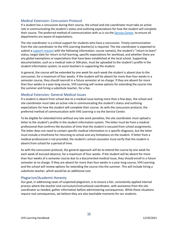#### <span id="page-18-0"></span>Medical Extension: Concussion Protocol

If a student has a concussion during their course, the school and site coordinator must take an active role in communicating the student's status and outlining expectations for how the student will complete their course. The preferred method of communication with us is via the [Service Center,](https://service.vhslearning.org/) to ensure all departments are aware of expectations.

The site coordinator is a critical support for students who have a concussion. Timely communication from the site coordinator to the VHS Learning teacher(s) is required. The site coordinator is expected to submit a [support request](https://service.vhslearning.org/s/) with the following information: course name(s), the student's "return to learn" status, target date for return to full learning, specific expectations for workload, and whether there are any global exemptions or expectations that have been established at the local school. Supporting documentation, such as a medical note or 504 plan, must be uploaded to the student's profile in the student information system, to assist teachers in supporting the student.

In general, the course will be extended by one week for each week the student is absent due to the concussion, for a maximum of four weeks. If the student will be absent for more than four weeks in a semester course, they should reenroll in a future semester at no charge. If they are absent for more than four weeks in a year-long course, VHS Learning will review options for extending the course into the summer and hiring a substitute teacher, for a fee.

#### <span id="page-18-1"></span>Medical Extension: General Medical Issues

If a student is absent from school due to a medical issue lasting more than a few days, the school and site coordinator must take an active role in communicating the student's status and outlining expectations for how the student will complete their course. As with the concussion protocol, the preferred method of communication with VHS Learning is via the Service Center.

To be eligible for extended time without any late work penalties, the site coordinator must upload a letter to the student's profile in the student information system. The letter must be from a medical professional that confirms the duration of time that the student is excused from school assignments. The letter does not need to contain specific medical information or a specific diagnosis, but the letter must include a timeframe for returning to school and any limitations on the student. If letter from a medical professional is not provided, the student's school counselor must verify that the student is absent from school for a period of time.

As with the concussion protocol, the general approach will be to extend the course by one week for each week of excused absence, for a maximum of four weeks. If the student will be absent for more than four weeks of a semester course due to a documented medical issue, they should enroll in a future semester at no charge. If they are absent for more than four weeks in a year-long course, VHS Learning and the school will review options for extending the course into the summer. This will include hiring a substitute teacher, which would be an additional cost.

#### <span id="page-18-2"></span>Plagiarism/Academic Honesty

Our goal, in addressing cases of suspected plagiarism, is to ensure a fair, consistently applied internal process where the teacher and curriculum/instructional coordinator, with assistance from the site coordinator as needed, gather information before administering consequences. While these situations require real consequences, we believe they are also teachable moments for our students.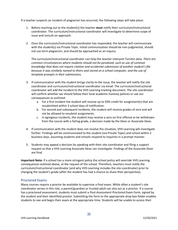If a teacher suspects an incident of plagiarism has occurred, the following steps will take place:

- 1. Before reaching out to the student(s) the teacher **must** notify their curriculum/instructional coordinator. The curriculum/instructional coordinator will investigate to determine scope of issue and consult on approach.
- 2. Once the curriculum/instructional coordinator has responded, the teacher will communicate with the student(s) via Private Topic. Initial communication should be non-judgmental, should not use term plagiarism, and should be approached as an inquiry.

The curriculum/instructional coordinator can help the teacher interpret Turnitin data. *There are common circumstances where students should not be penalized, such as use of common knowledge that does not require citation and accidental submission of another student's file because it was similarly named to theirs and stored on a school computer, and the use of template prompts in their submissions.*

- 3. If communication with the student brings clarity to the issue, the teacher will notify the site coordinator and curriculum/instructional coordinator via email. The curriculum/instructional coordinator will add the incident to the VHS Learning tracking document. The site coordinator will confirm whether we should follow their local academic honesty policies or use our consequences as outlined:
	- a. For a first incident the student will receive up to 50% credit for assignment(s) that are resubmitted within 3 school days of notification.
	- b. For second and subsequent incidents, the student will receive grades of zero and will not be allowed to resubmit assignments.
	- c. In egregious incidents, the student may receive a zero on first offense or be withdrawn from the course with a failing grade, a decision made by the Dean or Associate Dean.
- 4. If communication with the student does not resolve the situation, VHS Learning will investigate further. Findings will be communicated to the student (via Private Topic) and school within 2 business days, assuming students and schools respond to inquiries in a prompt manner.
- 5. Students may appeal a decision by speaking with their site coordinator and filing a support request so that a VHS Learning Associate Dean can investigate. Findings of the Associate Dean are final.

**Important Note:** If a school has a more stringent policy the school policy will override VHS Learning consequences outlined above, at the request of the school. Therefore, teachers must notify the curriculum/instructional coordinator (and why VHS Learning includes the site coordinator) prior to changing the student's grade (after the student has had a chance to share their perspective).

#### <span id="page-19-0"></span>Proctored Exams

Many courses require a proctor be available to supervise a final exam. While often a student's site coordinator serves in this role, a parent/guardian or trusted adult can also act as a proctor. If a course has a proctored assessment, students must submit a *Post-Assessment Proctored Exam Form*, signed by the student and their identified proctor. Submitting the form to the appropriate drop box folder enables students to see and begin their exam at the appropriate time. Students will be unable to access their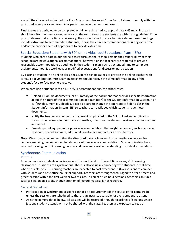exam if they have not submitted the *Post-Assessment Proctored Exam Form*. Failure to comply with the proctored exam policy will result in a grade of zero on the proctored exam.

Final exams are designed to be completed within one class period, approximately 45 mins. Proctors should monitor the time allowed to work on the exam to ensure students are within this guideline. If the proctor deems that extra time is necessary, they should email the teacher. As a default, exam settings include extra time to accommodate students, in case they have accommodations requiring extra time, and/or the proctor deems it appropriate to provide extra time.

#### <span id="page-20-0"></span>Special Education: Students with 504 or Individualized Educational Plans (IEPs)

Students who participate in our online classes through their school remain the responsibility of their school regarding educational accommodations; however, online teachers are required to provide reasonable accommodations as outlined in the student's plan, such as extended time to complete assignments, modified workload, or modified expectations for discussion participation.

By placing a student in an online class, the student's school agrees to provide the online teacher with IEP/504 documentation. VHS Learning teachers should receive the same information any of the student's face-to-face teachers receive.

When enrolling a student with an IEP or 504 accommodations, the school must:

- Upload IEP or 504 documents (or a summary of the document that provides specific information about the nature of the accommodation or adaptation) to the Student Information System. If an IEP/504 document is uploaded, please be sure to change the appropriate field to YES in the Student Information System (SIS) so teachers can easily see which students have these documents.
- Notify the teacher as soon as the document is uploaded to the SIS. Upload and notification should occur as early in the course as possible, to ensure the student receives accommodations as needed.
- Provide special equipment or physical accommodations that might be needed, such as a special keyboard, special software, additional face-to-face support, or an on-site tutor.

**Note:** We strongly recommend that the site coordinator is involved in any meetings where online courses are being recommended for students who receive accommodations. Site coordinators have received training on VHS Learning policies and have an overall understanding of student expectations.

#### <span id="page-20-1"></span>Synchronous Communication

#### <span id="page-20-2"></span>Purpose

To accommodate students who live around the world and in different time zones, VHS Learning classroom discussions are asynchronous. There is also value in connecting with students in real-time when possible, so VHS Learning teachers are expected to host synchronous (live) sessions to connect with students and host office hours for support. Teachers are strongly encouraged to offer a "meet and greet" session within the first week or two of class. In lieu of office-hour sessions, teachers can run a tutorial session on a topic, though creation of lecture material is not required.

#### <span id="page-20-3"></span>General Guidelines

- Participation in synchronous sessions cannot be a requirement of the course or for extra credit unless the sessions are scheduled so there is an instance available for every student to attend.
- As noted in more detail below, all sessions will be recorded, though recordings of sessions where just one student attends will not be shared with the class. Teachers are expected to read a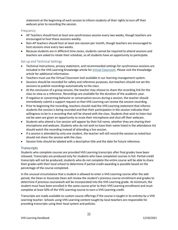statement at the beginning of each session to inform students of their rights to turn off their webcam prior to recording the session.

#### <span id="page-21-0"></span>Frequency

- AP Teachers should host at least one synchronous session every two weeks, though teachers are encouraged to host these sessions weekly.
- Non-AP teachers should host at least one session per month, though teachers are encouraged to host sessions once every two weeks.
- Because students are in different time zones, students cannot be required to attend sessions and teachers are asked to rotate their schedule, so all students have an opportunity to participate.

#### <span id="page-21-1"></span>Set-up and Technical Settings

- Technical instructions, privacy statement, and recommended settings for synchronous sessions are included in the VHS Learning Knowledge article for *Virtual Classroom*. Please visit the Knowledge article for additional information.
- Teachers must use the Virtual Classroom tool available in our learning management system.
- Sessions should be recorded for safety and reference purposes, but teachers should not set the sessions to publish recordings automatically to the class.
- At the conclusion of a group session, the teacher may choose to share the recording link for the class to view as a reference. Recordings are available for the duration of the academic year.
- If negative or concerning behavior or conversation occurs during a session, the teacher should immediately submit a support request so that VHS Learning can review the session recording.
- Prior to beginning the recording, teachers should read the VHS Learning statement that informs students the session is being recorded and that their participation in the session indicates their willingness to be in a recording that will be shared with the class. Students that wish to listen but not be seen are given an opportunity to mute their microphone and shut off their webcam.
- Students who attend a live session will appear by their full name, whether they are sharing their microphone and webcam. Students who do not wish to have their name listed in the attendance list should watch the recording instead of attending a live session.
- If a session is attended by only one student, the teacher will still record the session as noted but should not share the session with the class.
- Session links should be labeled with a descriptive title and the date for future reference.

#### <span id="page-21-2"></span>**Transcripts**

Students who complete courses are provided VHS Learning transcripts after final grades have been released. Transcripts are produced only for students who have completed courses in full. Partial-credit transcripts will not be produced; students who do not complete the entire course will be able to share their grades with their local school to determine if partial-credit awarding is possible based on the percentage of the course completed.

In the unusual circumstance that a student is allowed to enter a VHS Learning course after the add period, the Dean or Associate Dean will review the student's previous course enrollment and grades to determine if previous coursework will be incorporated into the VHS Learning grade. At minimum, the student must have been enrolled in the same course prior to their VHS Learning enrollment and must complete at least 50% of the VHS Learning course to earn a VHS Learning credit.

Transcripts are made available to custom course offerings if the course is taught in its entirety by a VHS Learning teacher. Schools using VHS Learning content taught by local teachers are responsible for providing transcripts using their local system and policies.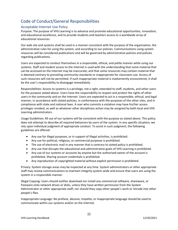# <span id="page-22-0"></span>Code of Conduct/General Responsibilities

### <span id="page-22-1"></span>Acceptable Internet Use Policy

Purpose: The purpose of VHS Learning is to advance and promote educational opportunities, innovation, and educational excellence, and to provide students and teachers access to a worldwide array of educational resources.

Our web site and systems shall be used in a manner consistent with the purpose of the organization, the administrative rules for using the system, and according to our policies. Communications using system resources will be considered publications and will be governed by administrative policies and policies regarding publications.

Users are expected to conduct themselves in a responsible, ethical, and polite manner while using our systems. Staff and student access to the Internet is used with the understanding that some material that can be accessed on the Internet may be inaccurate; and that some resources may contain material that is deemed contrary to prevailing community standards or inappropriate for classroom use. Access of such resources will not be permitted. If such inappropriate material is inadvertently encountered, it shall be the user's responsibility to disengage immediately.

Responsibilities: Access to systems is a privilege, not a right, extended to staff, students, and other users for the purpose stated above. Users have the responsibility to respect and protect the rights of other users in the community and on the Internet. Users are expected to act in a responsible, ethical, and legal manner, in accordance with stated policies, in conformance with the purposes of the other sites, and in compliance with state and national laws. A user who commits a violation may have his/her access privileges revoked, as well as whatever other disciplinary action may be assigned by both local and VHS Learning administrators.

Usage Guidelines: All use of our systems will be consistent with the purpose as stated above. This policy does not attempt to describe all required behaviors by users of the system. In any specific situation, we rely upon individual judgment of appropriate conduct. To assist in such judgment, the following guidelines are offered:

- Any use for illegal purposes, or in support of illegal activities, is prohibited.
- Any use for political, religious, or commercial purposes is prohibited.
- The use of electronic mail in any manner that is contrary to stated policy is prohibited.
- Any use that disrupts the educational and administrative goals of VHS Learning is prohibited.
- Any use of our systems or accounts by anyone but the authorized owner of the account is prohibited. Sharing account credentials is prohibited.
- Any reproduction of copyrighted material without explicit permission is prohibited.

Privacy: System storage areas may be inspected at any time. System administrators or other appropriate staff may review communications to maintain integrity system-wide and ensure that users are using the system in a responsible manner.

Illegal Copying: Users should neither download nor install any commercial software, shareware, or freeware onto network drives or disks, unless they have written permission from the System Administrator or other appropriate staff; nor should they copy other people's work or intrude into other people's files.

Inappropriate Language: No profane, abusive, impolite, or inappropriate language should be used to communicate within our systems and/or on the Internet.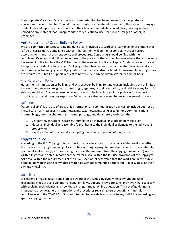Inappropriate Materials: Access or upload of material that has been deemed inappropriate for educational use is prohibited. Should users encounter such material by accident, they should disengage. Students should report such encounters to their teacher immediately. In addition, creating and/or uploading any material that is inappropriate for educational use (text, video, images or other) is prohibited.

#### <span id="page-23-0"></span>Anti-Harassment / Cyber-Bullying Policy

We are committed to safeguarding the right of all individuals to work and learn in an environment that is free of harassment. Compliance with anti-harassment will be the responsibility of each school according to its anti-harassment policy and procedures. Complaints should be filed with the complainant's school and follow procedures of the policy for that school. In cases where there is no antiharassment policy in place the VHS Learning anti-harassment policy will apply. Students are encouraged to report any incident of harassment/bullying to their teacher and site coordinator. Teachers and site coordinators witnessing cyber-bullying within their course and/or notified of harassment/bullying issues are required to submit a support request to notify VHS Learning administrators within 24 hours.

#### <span id="page-23-1"></span>Anti-Harassment Policy

Harassment, intimidation or bullying and acts of cyber-bullying for any reason, including but not limited to race, color, ancestry, religion, national origin, age, sex, sexual orientation, or disability in any form, is strictly prohibited. Anyone whose behavior is found to be in violation of this policy will be subject to discipline, up to and including expulsion. Violators may also be referred to law enforcement officials.

#### <span id="page-23-2"></span>**Definition**

"Cyber-bullying" is the use of electronic information and communication devices, to include but not be limited to, email messages, instant messaging, text messaging, cellular telephone communications, internet blogs, internet chat rooms, internet postings, and defamatory websites, that:

- 1. Deliberately threatens, harasses, intimidates an individual or group of individuals; or
- 2. Places an individual in reasonable fear of harm to the individual or damage to the individual's property; or
- 3. Has the effect of substantially disrupting the orderly operation of the course.

#### <span id="page-23-3"></span>Copyright Policy

According to the U.S. Copyright Act, all works that are in a fixed form are copyrighted works, whether they bear any copyright markings. As such, before using copyrighted materials in any course materials, personnel shall either (a) acquire the rights to use the materials from the copyright owners, (b) keep a written (signed and dated) record that the materials fall within the fair use provisions of the Copyright Act or fall within the requirements of the TEACH Act, or (c) determine that the works are in the public domain. Individuals using copyrighted materials without completing either step A, B or C do so at their own individual risk.

#### <span id="page-23-4"></span>Guidelines

It is essential that all faculty and staff are aware of the issues involved with copyright and take reasonable steps to avoid violation of copyright laws. Copyright laws are constantly evolving, especially with evolving technologies and how these changes impact online education. This set of guidelines is intended to provide general information and procedures regarding use of copyright materials in compliance with the TEACH Act. It is not intended to provide legal advice to any individual regarding any specific copyright issue.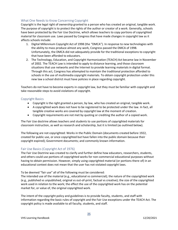#### <span id="page-24-0"></span>What One Needs to Know Concerning Copyright

Copyright is the legal right of ownership granted to a person who has created an original, tangible work. The purpose of copyright is to protect the rights of the author or creator of a work. Generally, schools have been protected by the Fair Use Doctrine, which allows teachers to copy portions of copyrighted material for classroom use. Laws passed by Congress that have made changes in copyright law as it affects schools include:

- 1. Digital Millennium Copyright Act of 1998 (the "DMCA"). In response to new technologies with the ability to mass produce almost any work, Congress passed the DMCA of 1998. Unfortunately, the DMCA did not adequately provide for the traditional exceptions to copyright that have been afforded to educators.
- 2. The Technology, Education, and Copyright Harmonization (TEACH) Act became law in November of 2002. The TEACH Law is intended to apply to distance learning, and those classroom situations that use networks and the Internet to provide learning materials in digital format. Through this act, Congress has attempted to maintain the traditional protection afforded to schools in the use of multimedia copyright materials. To obtain copyright protection under this new law a school district must have policies in place regarding copyright.

Teachers do not have to become experts in copyright law, but they must be familiar with copyright and take reasonable steps to avoid violations of copyright.

#### <span id="page-24-1"></span>Copyright Basics

- Copyright is the right granted a person, by law, who has created an original, tangible work.
- A copyrighted work does not have to be registered to be protected under the law. In fact, all tangible creative works are covered by copyright law at the moment of creation.
- Copyright requirements are not met by quoting or crediting the author of a copied work.

The Fair Use doctrine allows teachers and students to use portions of copyrighted materials for classroom instruction, as well as research and scholarship, but it is limited (as outlined below).

The following are not copyrighted: Works in the Public Domain (documents created before 1922, created for public use, or once copyrighted but have fallen into the public domain because their copyright expired); Government documents; and commonly known information.

#### <span id="page-24-2"></span>Fair Use Basics (Copyright Act of 1976)

The Fair Use Doctrine was created to clarify and further define how educators, researchers, students, and others could use portions of copyrighted works for non-commercial educational purposes without having to obtain permission. However, simply using copyrighted material (or portions there-of) in an educational context does not mean that the user has not violated copyright laws.

To be deemed "fair use" all of the following must be considered:

The intended use of the material (e.g., educational vs commercial); the nature of the copyrighted work (e.g., published vs unpublished, original vs out-of-print, factual vs creative); the size of the copyrighted work used in relation to the work; the effect the use of the copyrighted work has on the potential market for, or value of, the original copyrighted work.

The intent of the copyright policy and guidelines is to provide faculty, students, and staff with information regarding the basic rules of copyright and the Fair Use exceptions under the TEACH Act. The copyright policy is made available to all faculty, students, and staff.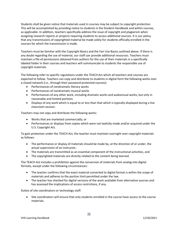Students shall be given notice that materials used in courses may be subject to copyright protection. This will be accomplished by providing notice to students in the Student Handbook and within courses, as applicable. In addition, teachers specifically address the issue of copyright and plagiarism when assigning research reports or projects requiring students to access additional sources. It is our policy that any transmissions of copyrighted material be made solely for students officially enrolled in the courses for which the transmission is made.

Teachers must be familiar with the Copyright Basics and the Fair Use Basics outlined above. If there is any doubt regarding the use of material, our staff can provide additional resources. Teachers must maintain a file of permissions obtained from authors for the use of their materials in a specifically labeled folder in their courses and teachers will communicate to students the responsible use of copyright materials.

The following refer to specific regulations under the TEACH Act which all teachers and courses are expected to follow. Teachers can copy and distribute to students in digital form the following works over a closed network (i.e., through their password-protected courses):

- Performances of nondramatic literary works
- Performances of nondramatic musical works
- Performances of any other work, including dramatic works and audiovisual works, but only in reasonable and limited portions
- Displays of any work which is equal to or less than that which is typically displayed during a live classroom session.

Teachers may not copy and distribute the following works:

- Works that are marketed commercially; or
- Performances or displays from copies which were not lawfully made and/or acquired under the U.S. Copyright Act.

To gain protection under the TEACH Act, the teacher must maintain oversight over copyright materials as follows:

- The performance or display of materials should be made by, at the direction of or under, the actual supervision of an instructor,
- The materials are transmitted as an essential component of the instructional activities, and
- The copyrighted materials are directly related to the content being learned.

The TEACH Act includes a prohibition against the conversion of materials from analog into digital formats, except under the following circumstances:

- The teacher confirms that the exact material converted to digital format is within the scope of materials and adheres to the portion limit permitted under the law.
- The teacher has checked for digital versions of the work available from alternative sources and has assessed the implications of access restrictions, if any.

Duties of site coordinators or technology staff:

• Site coordinators will ensure that only students enrolled in the course have access to the course materials.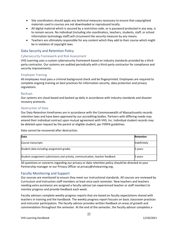- Site coordinators should apply any technical measures necessary to ensure that copyrighted materials used in courses are not downloaded or reproduced locally.
- All digital material which is secured by a restrictive code, or is password protected in any way, is to remain secure. No individual (including site coordinators, teachers, students, staff, or school information technology staff) will circumvent the security measure by any means.
- Teachers are ultimately responsible for any content which they add to their course which might be in violation of copyright laws

#### <span id="page-26-0"></span>Data Security and Retention Policy

#### <span id="page-26-1"></span>Cybersecurity Framework and Risk Assessment

VHS Learning uses a custom cybersecurity framework based on industry standards provided by a thirdparty contractor. Our systems are audited periodically with a third-party contractor for compliance and security improvements.

#### <span id="page-26-2"></span>Employee Training

All employees must pass a criminal background check and be fingerprinted. Employees are required to complete ongoing training on best practices for information security, data protection and privacy regulations.

#### <span id="page-26-3"></span>Backups

Our systems are cloud-based and backed up daily in accordance with industry standards and disaster recovery protocols.

#### <span id="page-26-4"></span>Destruction of Data

Our Data Retention timeframes are in accordance with the Commonwealth of Massachusetts records retention laws and have been approved by our accrediting bodies. Partners with differing needs may amend their individual contract upon mutual agreement with VHS, Inc. Individual student records may be deleted upon request by the parent or eligible student, per FERPA guidelines.

Data cannot be recovered after destruction.

| Data                                                                         | Retention    |
|------------------------------------------------------------------------------|--------------|
| Course transcripts                                                           | Indefinitely |
| Student data including assignment grades                                     | 5 years      |
| Student assignment submissions and activity, communication, teacher feedback | 5 years      |

All questions or concerns regarding our privacy or data retention policy should be directed to your Partnership manager or our Privacy Officer at privacy@vhslearning.org.

#### <span id="page-26-5"></span>Faculty Monitoring and Support

Our courses are monitored to ensure they meet our instructional standards. All courses are reviewed by Curriculum and Instruction staff members at least once each semester. New teachers and teachers needing extra assistance are assigned a faculty advisor (an experienced teacher or staff member) to monitor progress and provide feedback each week.

Faculty advisors complete weekly progress reports that are based on faculty expectations shared with teachers in training and the handbook. The weekly progress report focuses on basic classroom practices and instructor participation. The faculty advisor provides written feedback on areas of growth and commendation throughout the semester. At the end of the semester, the faculty advisor completes a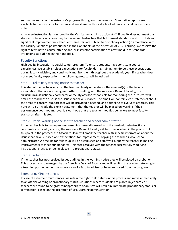summative report of the instructor's progress throughout the semester. Summative reports are available to the instructor for review and are shared with local school administrators if concerns are noted.

All course instruction is monitored by the Curriculum and Instruction staff. If quality does not meet our standards, faculty sanctions may be necessary. Instructors that fail to meet standards and do not show significant improvement in subsequent semesters are subject to disciplinary action (in accordance with the Faculty Sanctions policy outlined in the Handbook) at the discretion of VHS Learning. We reserve the right to terminate a course offering and/or instructor participation at any time due to standards infractions, as outlined in the Handbook.

#### <span id="page-27-0"></span>Faculty Sanctions

High quality instruction is crucial to our program. To ensure students have consistent course experiences, we establish clear expectations for faculty during training, reinforce these expectations during faculty advising, and continually monitor them throughout the academic year. If a teacher does not meet faculty expectations the following protocol will be utilized:

#### <span id="page-27-1"></span>Step 1: Preliminary warning notice to teacher

This step of the protocol ensures the teacher clearly understands the element(s) of the faculty expectations that are not being met. After consulting with the Associate Dean of Faculty, the curriculum/instructional coordinator or faculty advisor responsible for monitoring the instructor will email the teacher to discuss the issues that have surfaced. The email will contain clear statements about the areas of concern, support that will be provided if needed, and a timeline to evaluate progress. This note will also include the explicit statement that the teacher will be placed on warning if their performance does not improve. It is our hope that the teacher modifies behaviors to meet faculty standards after this step.

#### <span id="page-27-2"></span>Step 2: Official warning notice sent to teacher and school administrator

If the teacher fails to make progress resolving issues discussed with the curriculum/instructional coordinator or faculty advisor, the Associate Dean of Faculty will become involved in the protocol. At this point in the protocol the Associate Dean will email the teacher with specific information about the issues that have surfaced and expectations for improvement, copying the teacher's local school administrator. A timeline for follow up will be established and staff will support the teacher in making improvements to meet our standards. This step resolves with the teacher successfully modifying instructional practice or being placed in a probationary status.

#### <span id="page-27-3"></span>Step 3: Probation

If the teacher has not resolved issues outlined in the warning notice they will be placed on probation. This process is also managed by the Associate Dean of Faculty and will result in the teacher returning to a teaching position under the supervision of a faculty advisor or being removed from the program.

#### <span id="page-27-4"></span>Extenuating Circumstances

In case of extreme circumstances, we retain the right to skip steps in this process and move immediately to an official warning or probationary status. Situations where students are placed in jeopardy or teachers are found to be grossly inappropriate or abusive will result in immediate probationary status or termination, based on the discretion of VHS Learning administration.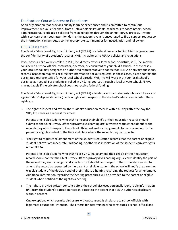#### <span id="page-28-0"></span>Feedback on Course Content or Experiences

As an organization that provides quality learning experiences and is committed to continuous improvement, we value feedback from all stakeholders (students, teachers, site coordinators, school administrators). Feedback is solicited from stakeholders through the annual survey process. Anyone with a concern that needs attention during the academic year is encouraged to file a support request so the information can be routed to the appropriate staff member for investigation and follow up.

#### <span id="page-28-1"></span>FERPA Statement

The Family Educational Rights and Privacy Act (FERPA) is a federal law enacted in 1974 that guarantees the confidentiality of a student's records. VHS, Inc. adheres to FERPA policies and regulations.

If you or your child were enrolled in VHS, Inc. directly by your local school or district, VHS, Inc. may be considered a school official, contractor, operator, or consultant of your child's school. In these cases, your local school may designate an authorized representative to contact for FERPA or privacy questions, records inspection requests or directory information opt-out requests. In these cases, please contact the designated representative for your local school directly. VHS, Inc. will work with your local school's designee as needed. For students enrolled in VHS, Inc. courses through a local private school, FERPA may not apply if the private school does not receive federal funding.

The Family Educational Rights and Privacy Act (FERPA) affords parents and students who are 18 years of age or older ("eligible students") certain rights with respect to the student's education records. These rights are:

 $\circ$  The right to inspect and review the student's education records within 45 days after the day the VHS, Inc. receives a request for access.

Parents or eligible students who wish to inspect their child's or their education records should submit to the Chief Privacy Officer (privacy@vhslearning.org) a written request that identifies the records they wish to inspect. The school official will make arrangements for access and notify the parent or eligible student of the time and place where the records may be inspected.

 $\circ$  The right to request the amendment of the student's education records that the parent or eligible student believes are inaccurate, misleading, or otherwise in violation of the student's privacy rights under FERPA.

Parents or eligible students who wish to ask VHS, Inc. to amend their child's or their education record should contact the Chief Privacy Officer (privacy@vhslearning.org), clearly identify the part of the record they want changed and specify why it should be changed. If the school decides not to amend the record as requested by the parent or eligible student, the school will notify the parent or eligible student of the decision and of their right to a hearing regarding the request for amendment. Additional information regarding the hearing procedures will be provided to the parent or eligible student when notified of the right to a hearing.

 $\circ$  The right to provide written consent before the school discloses personally identifiable information (PII) from the student's education records, except to the extent that FERPA authorizes disclosure without consent.

One exception, which permits disclosure without consent, is disclosure to school officials with legitimate educational interests. The criteria for determining who constitutes a school official and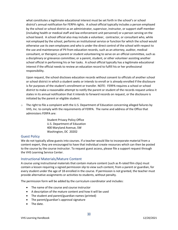what constitutes a legitimate educational interest must be set forth in the school's or school district's annual notification for FERPA rights. A school official typically includes a person employed by the school or school district as an administrator, supervisor, instructor, or support staff member (including health or medical staff and law enforcement unit personnel) or a person serving on the school board. A school official also may include a volunteer, contractor, or consultant who, while not employed by the school, performs an institutional service or function for which the school would otherwise use its own employees and who is under the direct control of the school with respect to the use and maintenance of PII from education records, such as an attorney, auditor, medical consultant, or therapist; a parent or student volunteering to serve on an official committee, such as a disciplinary or grievance committee; or a parent, student, or other volunteer assisting another school official in performing his or her tasks. A school official typically has a legitimate educational interest if the official needs to review an education record to fulfill his or her professional responsibility.

Upon request, the school discloses education records without consent to officials of another school or school district in which a student seeks or intends to enroll or is already enrolled if the disclosure is for purposes of the student's enrollment or transfer. NOTE: FERPA requires a school or school district to make a reasonable attempt to notify the parent or student of the records request unless it states in its annual notification that it intends to forward records on request, or the disclosure is initiated by the parent or eligible student.

 $\circ$  The right to file a complaint with the U.S. Department of Education concerning alleged failures by VHS, Inc. to comply with the requirements of FERPA. The name and address of the Office that administers FERPA are:

> Student Privacy Policy Office U.S. Department of Education 400 Maryland Avenue, SW Washington, DC 20202

#### <span id="page-29-0"></span>Guest Policy

We do not typically allow guests into courses. If a teacher would like to incorporate material from a content expert, they are encouraged to have that individual create resources which can then be posted to the course by the course instructor. To request guest access, please file a support request through the VHS Learning Service Center.

#### <span id="page-29-1"></span>Instructional Materials/Mature Content

A course using instructional materials that contain mature content (such as R-rated film clips) must contain a lesson requiring a signed permission slip to view such content, from a parent or guardian, for every student under the age of 18 enrolled in the course. If permission is not granted, the teacher must provide alternative assignments or activities to students, without penalty.

The permission form will be added by the curriculum coordinator and includes:

- The name of the course and course instructor
- A description of the mature content and how it will be used
- The student and parent/guardian names (printed)
- The parent/guardian's approval signature
- The date.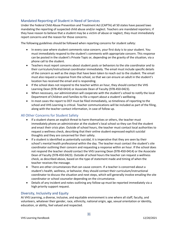## <span id="page-30-0"></span>Mandated Reporting of Student in Need of Services

Under the Federal Child Abuse Prevention and Treatment Act (CAPTA) all 50 states have passed laws mandating the reporting of suspected child abuse and/or neglect. Teachers are mandated reporters; if they have reason to believe that a student may be a victim of abuse or neglect, they must immediately report concerns and the reason for those concerns.

The following guidelines should be followed when reporting concerns for student safety:

- In every case where student comments raise concern, your first duty is to your student. You must immediately respond to the student's comments with appropriate concern. This response can be posted in the student's Private Topic or, depending on the gravity of the situation, via a phone call to the student.
- Teachers must report concerns about student posts or behaviors to the site coordinator and to their curriculum/instructional coordinator immediately. The email must include specific details of the concern as well as the steps that have been taken to reach out to the student. The email must also request a response from the school, so that we can ensure an adult in the student's location has received the email and is responding.
- If the school does not respond to the teacher within an hour, they should contact the VHS Learning Dean (978-450-0414) or Associate Dean of Faculty (978-450-0423).
- When necessary, our administration will cooperate with the student's school to notify the local Department of Children and Families to file a report about a student's wellbeing.
- In most cases the report to DCF must be filed immediately, so timeliness of reporting to the school and VHS Learning is critical. Teacher communications will be included as part of the filing, along with the teacher contact information, in case of follow up.

#### <span id="page-30-1"></span>All Other Concerns for Student Safety

- If a student shares an explicit threat to harm themselves or others, the teacher must immediately phone an administrator at the student's local school so they can find the student and enact their crisis plan. Outside of school hours, the teacher must contact local authorities to request a wellness check, describing that their online student expressed explicit suicidal thoughts and they are concerned for their safety.
- If a student is identified as potentially suicidal, it is imperative that they are seen by their school's mental health professional within the day. The teacher must contact the student's site coordinator outlining their concern and requesting a response within an hour. If the school does not respond the teacher should contact the VHS Learning Dean (978-450-0414) or the Associate Dean of Faculty (978-450-0423). Outside of school hours the teacher can request a wellness check, as described above, based on the type of statement made and timing of when the teacher receives the message.
- There are other circumstances that can cause concern. If a teacher is concerned about a student's health, wellness, or behavior, they should contact their curriculum/instructional coordinator to discuss the situation and next steps, which will generally involve emailing the site coordinator or school counselor depending on the circumstance.
- Details of any incident and notes outlining any follow-up must be reported immediately via a high priority support request.

#### <span id="page-30-2"></span>Diversity, Inclusivity and Equity

At VHS Learning, a diverse, inclusive, and equitable environment is one where all staff, faculty, and volunteers, whatever their gender, race, ethnicity, national origin, age, sexual orientation or identity, education, or ability, feel valued and respected.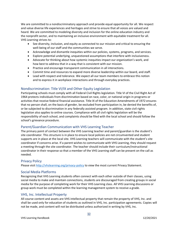We are committed to a nondiscriminatory approach and provide equal opportunity for all. We respect and value diverse life experiences and heritages and strive to ensure that all voices are valued and heard. We are committed to modeling diversity and inclusion for the online education industry and the nonprofit sector, and to maintaining an inclusive environment with equitable treatment for all. VHS Learning strives to:

- See diversity, inclusion, and equity as connected to our mission and critical to ensuring the well-being of our staff and the communities we serve.
- Acknowledge and dismantle inequities within our policies, systems, programs, and services.
- Explore potential underlying, unquestioned assumptions that interfere with inclusiveness.
- Advocate for thinking about how systemic inequities impact our organization's work, and how best to address that in a way that is consistent with our mission.
- Practice and encourage transparent communication in all interactions.
- Commit time and resources to expand more diverse leadership within our board, and staff.
- Lead with respect and tolerance. We expect all our team members to embrace this notion and to express it in workplace interactions and through everyday practices.

#### <span id="page-31-0"></span>Nondiscrimination: Title VI/IX and Other Equity Legislation

Participating schools must comply with all Federal Civil Rights legislation. Title VI of the Civil Right Act of 1964 protects individuals from discrimination based on race, color, or national origin in programs or activities that receive federal financial assistance. Title IX of the Education Amendments of 1972 ensures that no person shall, on the basis of gender, be excluded from participation in, be denied the benefits of, or be subjected to discrimination in any federally assisted program. In addition, state civil rights legislation also applies to online courses. Compliance with all civil rights legislation will be the responsibility of each school, and complaints should be filed with the local school and should follow the school's grievance procedure.

#### <span id="page-31-1"></span>Parent/Guardian Communication with VHS Learning Teacher

The primary point of contact between the VHS Learning teacher and parent/guardian is the student's site coordinator. This structure is in place to ensure local policies are not circumvented and student supports are in place at the local site. VHS Learning teachers will communicate with the student's site coordinator if concerns arise. If a parent wishes to communicate with VHS Learning, they should request a meeting through the site coordinator. The teacher should include their curriculum/instructional coordinator in their response so that a member of the VHS Learning staff can be present on the call as needed.

#### <span id="page-31-2"></span>Privacy Policy

Please visi[t http://vhslearning.org/privacy-policy](http://vhslearning.org/privacy-policy) to view the most current Privacy Statement.

#### <span id="page-31-3"></span>Social Media Platforms

Recognizing that VHS Learning students often connect with each other outside of their classes, using social media to make and maintain connections, students are discouraged from creating groups in social media for the purpose of completing work for their VHS Learning class. All VHS Learning discussions or group work must be completed within the learning management system to receive a grade.

#### <span id="page-31-4"></span>VHS, Inc. Intellectual Property

All course content and assets are VHS intellectual property that remain the property of VHS, Inc. and shall be used only for education of students as outlined in VHS, Inc. participation agreements. Copies will not be made, and content will not be distributed unless authorized in writing by VHS, Inc.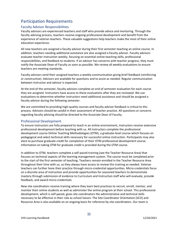# <span id="page-32-0"></span>Participation Requirements

#### <span id="page-32-1"></span>Faculty Advisor Responsibilities

Faculty advisors are experienced teachers and staff who provide advice and mentoring. Through the faculty advising process, teachers receive ongoing professional development and benefit from the experience of veteran teachers. These valuable suggestions help teachers make the most of their online education experience.

All new teachers are assigned a faculty advisor during their first semester teaching an online course. In addition, teachers needing additional assistance are also assigned a faculty advisor. Faculty advisors evaluate teacher instruction weekly, focusing on essential online teaching skills, professional responsibilities, and feedback to students. If an advisor has concerns with teacher progress, they must notify the Associate Dean of Faculty as soon as possible. We review all weekly evaluations to ensure teachers are meeting standards.

Faculty advisors send their assigned teachers a weekly communication giving brief feedback (reinforcing or constructive). Advisors are available for questions and to assist as needed. Regular communication between instructor and advisor is expected.

At the end of the semester, faculty advisors complete an end of semester evaluation for each course they are assigned. Instructors have access to these evaluations after they are reviewed. We use evaluations to determine whether instructors need additional assistance and should be assigned a faculty advisor during the following semester.

We are committed to providing high-quality courses and faculty advisor feedback is critical to this process. Advisors should be candid in their assessment of teacher practice. All questions or concerns regarding faculty advising should be directed to the Associate Dean of Faculty.

#### <span id="page-32-2"></span>Professional Development

To ensure instructors are fully prepared to teach in an online environment, instructors receive extensive professional development before teaching with us. All instructors complete the professional development course Online Teaching Methodologies (OTM), a graduate-level course which focuses on pedagogical and select technical skills necessary for successful online instruction. Participants may also elect to purchase graduate credit for completion of their OTM professional development course. Information on taking OTM for graduate credit is provided during the OTM course.

In addition to OTM, teachers complete a self-paced training (see the Teacher Resource Area) that focuses on technical aspects of the learning management system. The course must be completed prior to the start of the first semester of teaching. Teachers remain enrolled in the Teacher Resource Area throughout their time with us, so they always have access to review this training as needed. Veteran teachers can further hone their practice through micro-credential opportunities. Micro-credentials focus on a discrete area of instruction and provide opportunities for seasoned teachers to demonstrate mastery through submission of evidence to Curriculum and Instruction staff who will evaluate, provide feedback, and award micro-credentials.

New site coordinators receive training where they learn best practices to recruit, enroll, mentor, and monitor their online students as well as administer the online program at their school. This professional development, which is self-paced, gives site coordinators the administrative and technical skills necessary to be effective in their role as school liaison. The Site Coordinator Orientation (SCO) and Resource Area is also available on an ongoing basis for reference by site coordinators. Our team is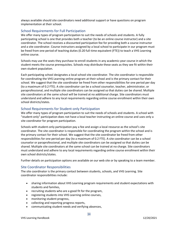always available should site coordinators need additional support or have questions on program implementation at their school.

#### <span id="page-33-0"></span>School Requirements for Full Participation

We offer many types of program participation to suit the needs of schools and students. A fully participating school is one that provides both a teacher (to be an online course instructor) and a site coordinator. The school receives a discounted participation fee for providing both a course instructor and a site coordinator. Course instructors assigned by a local school to participate in our program must be freed from one period of teaching duties (0.20 full-time equivalent (FTE)) to teach a VHS Learning online course.

Schools may use the seats they purchase to enroll students in any academic-year course in which the student meets the course prerequisites. Schools may distribute these seats as they see fit within their own student population.

Each participating school designates a local school site coordinator. The site coordinator is responsible for coordinating the VHS Learning online program at their school and is the primary contact for their school. We suggest that the site coordinator be freed from other responsibilities for one period per day (to a maximum of 0.2 FTE). A site coordinator can be a school counselor, teacher, administrator, or paraprofessional, and multiple site coordinators can be assigned so that duties can be shared. Multiple site coordinators at the same school will be trained at no additional charge. Site coordinators must understand and adhere to any local requirements regarding online course enrollment within their own school districts/states.

#### <span id="page-33-1"></span>School Requirements for Student-only Participation

We offer many types of program participation to suit the needs of schools and students. A school with "student-only" participation does not have a local teacher instructing an online course and uses only a site coordinator for program participation.

Schools with student-only participation pay a fee and assign a local resource as the school's site coordinator. The site coordinator is responsible for coordinating the program within the school and is the primary contact for their school. We suggest that the site coordinator be freed from other responsibilities for one period per day (to a maximum of 0.2 FTE). A site coordinator can be a school counselor or paraprofessional, and multiple site coordinators can be assigned so that duties can be shared. Multiple site coordinators at the same school can be trained at no charge. Site coordinators must understand and adhere to any local requirements regarding online course enrollment within their own school districts/states.

Further details on participation options are available on our web site or by speaking to a team member.

#### <span id="page-33-2"></span>Site Coordinator Responsibilities

The site coordinator is the primary contact between students, schools, and VHS Learning. Site coordinator responsibilities include:

- sharing information about VHS Learning program requirements and student expectations with students and families,
- recruiting students who are a good fit for the program,
- registering students into VHS Learning online courses,
- monitoring student progress,
- collecting and reporting progress reports,
- communicating student needs and verifying absences,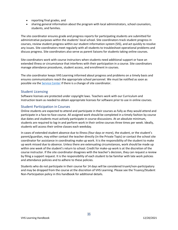- reporting final grades, and
- sharing general information about the program with local administrators, school counselors, students, and families.

The site coordinator ensures grade and progress reports for participating students are submitted for administrative purposes within the students' local school. Site coordinators track student progress in courses, review student progress within our student information system (SIS), and act quickly to resolve any issues. Site coordinators meet regularly with all students to troubleshoot operational problems and discuss progress. Site coordinators also serve as parent liaisons for students taking online courses.

Site coordinators work with course instructors when students need additional support or have an extended illness or circumstance that interferes with their participation in a course. Site coordinators manage attendance procedures, student access, and enrollment in courses.

The site coordinator keeps VHS Learning informed about progress and problems on a timely basis and ensures communications reach the appropriate school personnel. We must be notified as soon as possible via th[e Service Center](https://service.vhslearning.org/) if there is a change of site coordinator.

#### <span id="page-34-0"></span>Student Licensing

Software licenses are protected under copyright laws. Teachers work with our Curriculum and Instruction team as needed to obtain appropriate licenses for software prior to use in online courses.

#### <span id="page-34-1"></span>Student Participation in Courses

Online students are expected to attend and participate in their courses as fully as they would attend and participate in a face-to-face course. All assigned work should be completed in a timely fashion by course due dates and students must actively participate in course discussions. At an absolute minimum, students are required to log-in and perform work in their online courses three times per week. Ideally, students will access their online classes each weekday.

In cases of extended student absence due to illness (four days or more), the student, or the student's parent/guardian, may either contact the teacher directly (in the Private Topic) or contact the school site coordinator for assistance in coordinating make up work. It is the responsibility of the student to make up work missed due to absence. Unless there are extenuating circumstances, work should be made up within one week of the student's return to school. Credit for make-up work is at the discretion of the course instructor. If the site coordinator disagrees with the teacher's decision, they can request a review by filing a support request. It is the responsibility of each student to be familiar with late work policies and attendance policies and to adhere to these policies.

Students who do not participate in their course for 14 days will be considered truant/non-participatory and may be dropped from the course at the discretion of VHS Learning. Please see the Truancy/Student Non-Participation policy in this handbook for additional details.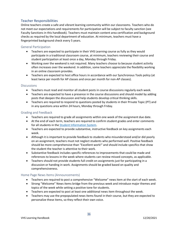#### <span id="page-35-0"></span>Teacher Responsibilities

Online teachers create a safe and vibrant learning community within our classrooms. Teachers who do not meet our expectations and requirements for participation will be subject to faculty sanction (see Faculty Sanctions in this handbook). Teachers must maintain content area certification and background checks as required by the local department of education. At minimum, teachers must have a fingerprinted background check every 5 years.

#### <span id="page-35-1"></span>General Participation

- Teachers are expected to participate in their VHS Learning course as fully as they would participate in a traditional classroom course, at minimum, teachers reviewing their course and student participation at least once a day, Monday through Friday.
- Working over the weekend is not required. Many teachers choose to because student activity often increases over the weekend. In addition, some teachers appreciate the flexibility working in an online classroom provides.
- Teachers are expected to host office hours in accordance with our Synchronous Tools policy (at least twice per month for AP classes and once per month for non-AP classes).

#### <span id="page-35-2"></span>**Discussions**

- Teachers must read and monitor all student posts in course discussions regularly each week.
- Teachers are expected to have a presence in the course discussions and should model by adding posts that deepen the discussion and help students develop critical thinking skills.
- Teachers are required to respond to questions posted by students in their Private Topic (PT) and in any questions area within 24 hours, Monday through Friday.

#### <span id="page-35-3"></span>Grading and Feedback

- Teachers are required to grade all assignments within one week of the assignment due date.
- At the end of each term, teachers are required to confirm student grades and enter comments for all students in the [Student Information System.](https://my.vhslearning.org/)
- Teachers are expected to provide substantive, instructive feedback on key assignments each week.
- Although it is important to provide feedback to students who misunderstood and/or did poorly on an assignment, teachers must not neglect students who performed well. Positive feedback should be more comprehensive than "Excellent work!" and should include specifics that show the student the teacher is attentive to their work.
- Substantive feedback includes specific references to improvements that could be made and references to lessons in the week where students can review missed concepts, as applicable.
- Teachers should not provide students full credit on assignments just for participating in a discussion or handing in work. Assignments should be graded based on quality and comprehensiveness.

#### <span id="page-35-4"></span>Home Page News Items (Announcements)

- Teachers are required to post a comprehensive "Welcome" news item at the start of each week.
- Strong "Welcome" News items bridge from the previous week and introduce major themes and topics of the week while setting a positive tone for students.
- Teachers are expected to post at least one additional news item throughout the week.
- Teachers may use the prepopulated news items found in their course, but they are expected to personalize these items, so they reflect their own voice.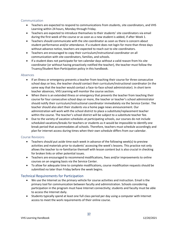#### <span id="page-36-0"></span>Communication

- Teachers are expected to respond to communications from students, site coordinators, and VHS Learning within 24 hours, Monday through Friday.
- Teachers are expected to introduce themselves to their students' site coordinators via email during the first week of the course or as soon as a new student is added, if after Week 1.
- Teachers should communicate with the site coordinator as soon as there is concern about student performance and/or attendance. If a student does not login for more than three days without advance notice, teachers are expected to reach out to site coordinators.
- Teachers are encouraged to copy their curriculum/instructional coordinator on all communication with site coordinators, families, and schools.
- If a student does not participate for ten calendar days without a valid reason from his site coordinator (or without having proactively notified the teacher), the teacher must follow the Truancy/Student Non-Participation policy in this handbook.

#### <span id="page-36-1"></span>Absences

- If an illness or emergency prevents a teacher from teaching their course for three consecutive school days or less, the teacher should contact their curriculum/instructional coordinator (in the same way that the teacher would contact a face-to-face school administrator). In short term teacher absences, VHS Learning will monitor the course section.
- When there is an extended illness or emergency that prevents the teacher from teaching their course for four consecutive school days or more, the teacher or teacher's school administrator should notify their curriculum/instructional coordinator immediately via the Service Center. The teacher should also alert their students via a home page news announcement. Our administration will work with the school district to place a substitute/replacement teacher within the course. The teacher's school district will be subject to a substitute teacher fee.
- Due to the variety of vacation schedules at participating schools, our courses do not include scheduled vacations/breaks for teachers or students as it would be impossible to identify one break period that accommodates all schools. Therefore, teachers must schedule accordingly and plan for internet access during times when their own schedule differs from our calendar.

#### <span id="page-36-2"></span>Course Revisions

- Teachers should put aside time each week in advance of the following week(s) to preview activities and materials prior to students' accessing the week's lessons. This practice not only allows the teacher to re-familiarize themself with lesson content but is also crucial in checking for broken links or other potential issues.
- Teachers are encouraged to recommend modifications, fixes and/or improvements to online courses on an ongoing basis via the Service Center.
- To allow for adequate time to complete modifications, course modification requests should be submitted no later than Friday before the week begins.

#### <span id="page-36-3"></span>Technical Requirements for Participation

- We use the Internet as the primary vehicle for course activities and instruction. Email is the primary tool for communication between faculty and administration. Schools considering participation in the program must have Internet connectivity; students and faculty must be able to access the Internet daily.
- Students typically spend at least one full class period per day using a computer with Internet access to meet the work requirements of their online course.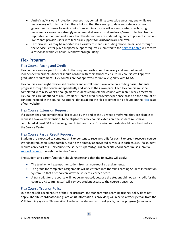- Anti-Virus/Malware Protection: courses may contain links to outside websites, and while we make every effort to maintain these links so that they are up to date and safe, we cannot guarantee that users following links from within a course will not encounter sites hosting malware or viruses. We strongly recommend all users install malware/virus protection from a reputable vendor, and make sure that the definitions are updated regularly to prevent infection. We cannot provide users with technical support for virus/malware removal.
- Technical issues may be reported via a variety of means, including phone, email, and through the [Service Center](https://service.vhslearning.org/) (24/7 support). Support requests submitted to the Service Center will receive a response within 24 hours, Monday through Friday.

## <span id="page-37-0"></span>Flex Program

#### <span id="page-37-1"></span>Flex Course Pacing and Credit

Flex courses are designed for students that require flexible credit recovery and are motivated, independent learners. Students should consult with their school to ensure Flex courses will apply to graduation requirements. Flex courses are not approved for initial eligibility with NCAA.

Flex courses are taught by licensed teachers and enrollment is available on a rolling basis. Students progress through the course independently and work at their own pace. Each Flex course must be completed within 15-weeks, though many students complete the course within an 8-week timeframe. Flex courses are identified as a 0.5-credit or 1-credit credit recovery experience based on the amount of content included in the course. Additional details about the [Flex](https://vhslearning.org/flexible-credit-recovery) program can be found on the Flex page of our website.

#### <span id="page-37-2"></span>Flex Course Extension Request

If a student has not completed a Flex course by the end of the 15-week timeframe, they are eligible to request a two-week extension. To be eligible for a flex course extension, the student must have completed at least 50% of the assignments in the course. Extension requests should be submitted via the Service Center.

#### <span id="page-37-3"></span>Flex Course Partial Credit Request

Students are expected to complete all Flex content to receive credit for each Flex credit recovery course. Workload reduction is not possible, due to the already abbreviated curricula in each course. If a student requires only part of a Flex course, the student's parent/guardian or site coordinator must submit a [support request](https://service.vhslearning.org/) through the Service Center.

The student and parent/guardian should understand that the following will apply:

- The teacher will exempt the student from all non-required assignments.
- The grade for completed assignments will be entered into the VHS Learning Student Information System, so that a school can view the students' earned score.
- A transcript for the course will not be generated, because the student did not earn credit for the course. VHS Learning staff will remove student access to the course transcript.

#### <span id="page-37-4"></span>Flex Course Truancy Policy

Due to the self-paced nature of the Flex program, the standard VHS Learning truancy policy does not apply. The site coordinator and guardian (if information is provided) will receive a weekly email from the VHS Learning system. This email will include the student's current grade, course progress (number of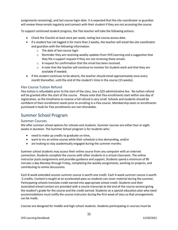assignments remaining), and last course login date. It is expected that the site coordinator or guardian will review these emails regularly and connect with their student if they are not accessing the course.

To support continued student progress, the Flex teacher will take the following actions:

- Check the Classlist at least once per week, noting last course access date.
- If a student has not logged in for more than 2 weeks, the teacher will email the site coordinator and guardian with the following information:
	- o The date of last course login
	- $\circ$  Reminder they are receiving weekly updates from VHS Learning and a suggestion that they file a support request if they are not receiving these emails.
	- o A request for confirmation that the email has been received.
	- o A note that the teacher will continue to monitor for student work and that they are available if needed.
- If the student continues to be absent, the teacher should email approximately once every month thereafter, until the end of the student's time in the course (15 weeks).

#### <span id="page-38-0"></span>Flex Course Tuition Refund

Flex tuition is refundable prior to the start of the class, less a \$25 administrative fee. No tuition refund will be granted after the start of the course. Please note that Flex enrollments start within one day of registration, so the timeframe to receive a full refund is very small. Schools and students should be confident of their enrollment needs prior to enrolling in a Flex course. Membership seats or enrollments purchased in bulk for Flex enrollments are not refundable.

## <span id="page-38-1"></span>Summer School Program

#### <span id="page-38-2"></span>Summer Courses

We offer summer school options for schools and students. Summer courses are either four or eight weeks in duration. The Summer School program is for students who:

- need to make up credits to graduate on time,
- want to try an online course while their schedule is less demanding, and/or
- are looking to stay academically engaged during the summer months.

Summer school students may access their online course from any computer with an Internet connection. Students complete the course with other students in a virtual classroom. The online instructor posts assignments and provides guidance and support. Students spend a minimum of 90 minutes a day Monday through Friday, completing the weekly assignments, working on projects, and contributing to online discussions.

Each 8-week extended session summer course is worth one credit. Each 4-week summer course is worth .5 credits. Content is taught at an accelerated pace so students can cover material during the summer. Participating schools translate credit earned into appropriate school credit. Students and their associated school contact are provided with a course transcript at the end of the course session giving the student's grade for the course and the credit earned. Students on a special education plan who need accommodations must notify the course instructor during the first week of class so that arrangements can be made.

Courses are designed for middle and high school students. Students participating in courses must be